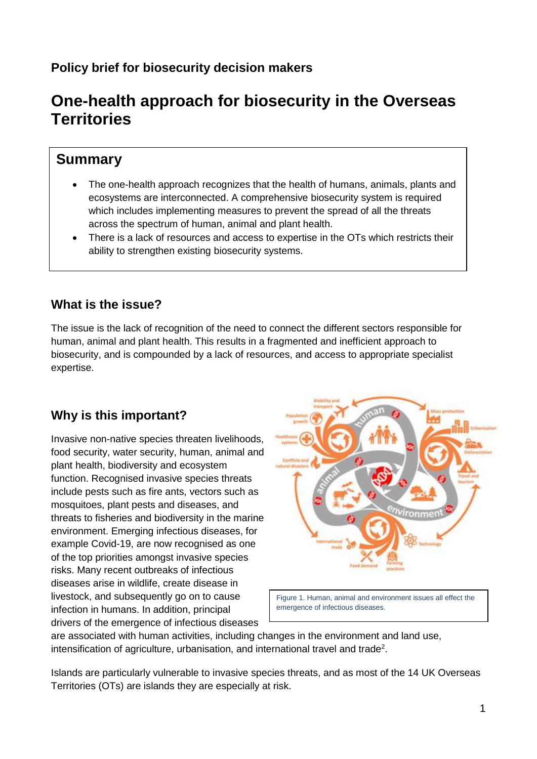# **Policy brief for biosecurity decision makers**

# **One-health approach for biosecurity in the Overseas Territories**

# **Summary**

- The one-health approach recognizes that the health of humans, animals, plants and ecosystems are interconnected. A comprehensive biosecurity system is required which includes implementing measures to prevent the spread of all the threats across the spectrum of human, animal and plant health.
- There is a lack of resources and access to expertise in the OTs which restricts their ability to strengthen existing biosecurity systems.

### **What is the issue?**

The issue is the lack of recognition of the need to connect the different sectors responsible for human, animal and plant health. This results in a fragmented and inefficient approach to biosecurity, and is compounded by a lack of resources, and access to appropriate specialist expertise.

# **Why is this important?**

Invasive non-native species threaten livelihoods, food security, water security, human, animal and plant health, biodiversity and ecosystem function. Recognised invasive species threats include pests such as fire ants, vectors such as mosquitoes, plant pests and diseases, and threats to fisheries and biodiversity in the marine environment. Emerging infectious diseases, for example Covid-19, are now recognised as one of the top priorities amongst invasive species risks. Many recent outbreaks of infectious diseases arise in wildlife, create disease in livestock, and subsequently go on to cause infection in humans. In addition, principal drivers of the emergence of infectious diseases



Figure 1. Human, animal and environment issues all effect the emergence of infectious diseases.

are associated with human activities, including changes in the environment and land use, intensification of agriculture, urbanisation, and international travel and trade<sup>2</sup>.

Islands are particularly vulnerable to invasive species threats, and as most of the 14 UK Overseas Territories (OTs) are islands they are especially at risk.